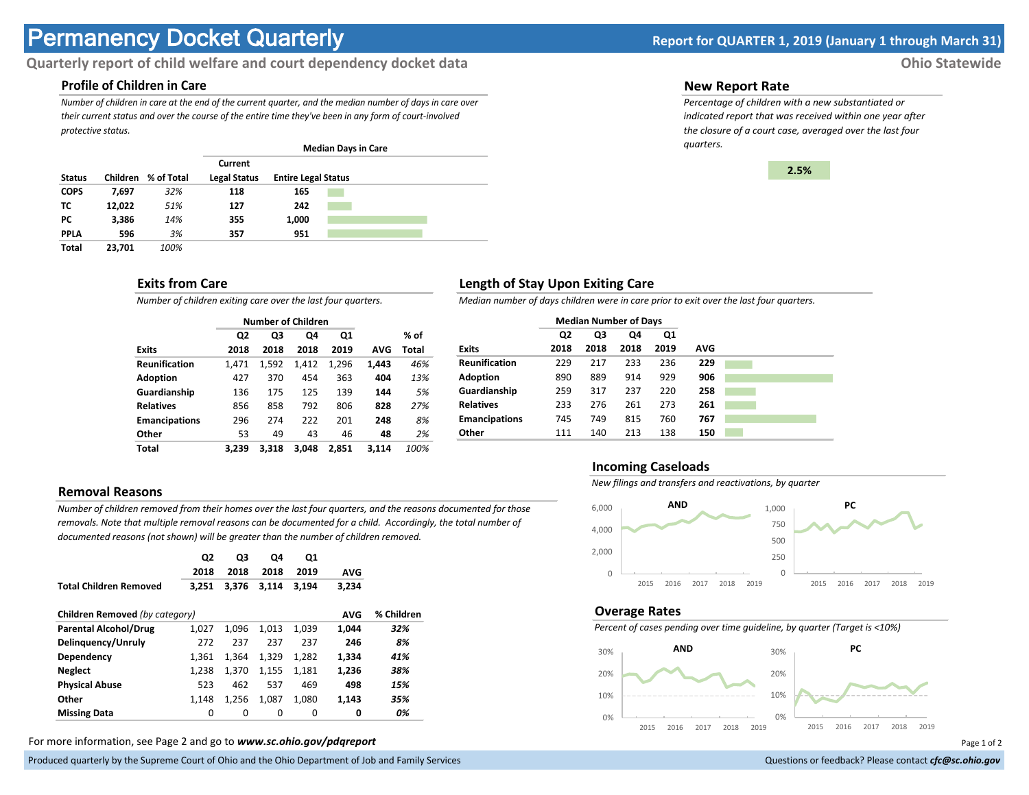# **Permanency Docket Quarterly Report for QUARTER 1, 2019 (January 1 through March 31)**

# **Quarterly report of child welfare and court dependency docket data Ohio Statewide**

## **Profile of Children in Care**

*Number of children in care at the end of the current quarter, and the median number of days in care over their current status and over the course of the entire time they've been in any form of court-involved protective status.*

|               |          |            |                                | <b>Median Days in Care</b> |  |  |
|---------------|----------|------------|--------------------------------|----------------------------|--|--|
| <b>Status</b> | Children | % of Total | Current<br><b>Legal Status</b> | <b>Entire Legal Status</b> |  |  |
| <b>COPS</b>   | 7.697    | 32%        | 118                            | 165                        |  |  |
| тс            | 12.022   | 51%        | 127                            | 242                        |  |  |
| РC            | 3,386    | 14%        | 355                            | 1,000                      |  |  |
| <b>PPLA</b>   | 596      | 3%         | 357                            | 951                        |  |  |
| <b>Total</b>  | 23.701   | 100%       |                                |                            |  |  |

### **Exits from Care**

*Number of children exiting care over the last four quarters.*

|                      |                | <b>Number of Children</b> |       |       |       |       |
|----------------------|----------------|---------------------------|-------|-------|-------|-------|
|                      | Q <sub>2</sub> | Q3                        | Q4    | Q1    |       | % of  |
| <b>Exits</b>         | 2018           | 2018                      | 2018  | 2019  | AVG   | Total |
| <b>Reunification</b> | 1.471          | 1,592                     | 1.412 | 1,296 | 1,443 | 46%   |
| <b>Adoption</b>      | 427            | 370                       | 454   | 363   | 404   | 13%   |
| Guardianship         | 136            | 175                       | 125   | 139   | 144   | 5%    |
| <b>Relatives</b>     | 856            | 858                       | 792   | 806   | 828   | 27%   |
| <b>Emancipations</b> | 296            | 274                       | 222   | 201   | 248   | 8%    |
| Other                | 53             | 49                        | 43    | 46    | 48    | 2%    |
| Total                | 3.239          | 3.318                     | 3.048 | 2.851 | 3.114 | 100%  |

## **Removal Reasons**

*Number of children removed from their homes over the last four quarters, and the reasons documented for those removals. Note that multiple removal reasons can be documented for a child. Accordingly, the total number of documented reasons (not shown) will be greater than the number of children removed.* 

|                                              | Q2<br>2018 | Q3<br>2018 | Q4<br>2018 | Q1<br>2019 | <b>AVG</b> |            |
|----------------------------------------------|------------|------------|------------|------------|------------|------------|
| <b>Total Children Removed</b>                | 3.251      | 3.376      | 3.114      | 3.194      | 3,234      |            |
| Children Removed (by category)<br><b>AVG</b> |            |            |            |            |            | % Children |
| <b>Parental Alcohol/Drug</b>                 | 1,027      | 1.096      | 1.013      | 1.039      | 1.044      | 32%        |
| Delinguency/Unruly                           | 272        | 237        | 237        | 237        | 246        | 8%         |
| Dependency                                   | 1.361      | 1.364      | 1.329      | 1.282      | 1.334      | 41%        |
| <b>Neglect</b>                               | 1.238      | 1.370      | 1,155      | 1,181      | 1.236      | 38%        |
| <b>Physical Abuse</b>                        | 523        | 462        | 537        | 469        | 498        | 15%        |
| Other                                        | 1.148      | 1,256      | 1,087      | 1,080      | 1,143      | 35%        |
| <b>Missing Data</b>                          | 0          | 0          | 0          | 0          | 0          | 0%         |

For more information, see Page 2 and go to *www.sc.ohio.gov/pdqreport* Page 1 of 2

Produced quarterly by the Supreme Court of Ohio and the Ohio Department of Job and Family Services **Department** of *Services* Court of Ohio and the Ohio Department of Job and Family Services **Communist Court of Court of Co** 

#### **New Report Rate**

*Percentage of children with a new substantiated or indicated report that was received within one year after the closure of a court case, averaged over the last four quarters.*



## **Length of Stay Upon Exiting Care**

*Median number of days children were in care prior to exit over the last four quarters.*

|                      | <b>Median Number of Days</b> |      |      |      |            |  |
|----------------------|------------------------------|------|------|------|------------|--|
|                      | Q2                           | Q3   | Q4   | Q1   |            |  |
| <b>Exits</b>         | 2018                         | 2018 | 2018 | 2019 | <b>AVG</b> |  |
| <b>Reunification</b> | 229                          | 217  | 233  | 236  | 229        |  |
| <b>Adoption</b>      | 890                          | 889  | 914  | 929  | 906        |  |
| Guardianship         | 259                          | 317  | 237  | 220  | 258        |  |
| <b>Relatives</b>     | 233                          | 276  | 261  | 273  | 261        |  |
| <b>Emancipations</b> | 745                          | 749  | 815  | 760  | 767        |  |
| Other                | 111                          | 140  | 213  | 138  | 150        |  |

#### **Incoming Caseloads**

*New filings and transfers and reactivations, by quarter*



#### **Overage Rates**

*Percent of cases pending over time guideline, by quarter (Target is <10%)*